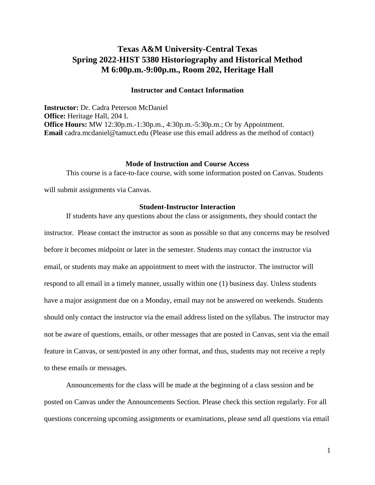# **Texas A&M University-Central Texas Spring 2022-HIST 5380 Historiography and Historical Method M 6:00p.m.-9:00p.m., Room 202, Heritage Hall**

#### **Instructor and Contact Information**

**Instructor:** Dr. Cadra Peterson McDaniel **Office:** Heritage Hall, 204 L **Office Hours:** MW 12:30p.m.-1:30p.m., 4:30p.m.-5:30p.m.; Or by Appointment. **Email** cadra.mcdaniel@tamuct.edu (Please use this email address as the method of contact)

#### **Mode of Instruction and Course Access**

This course is a face-to-face course, with some information posted on Canvas. Students

will submit assignments via Canvas.

#### **Student-Instructor Interaction**

If students have any questions about the class or assignments, they should contact the instructor. Please contact the instructor as soon as possible so that any concerns may be resolved before it becomes midpoint or later in the semester. Students may contact the instructor via email, or students may make an appointment to meet with the instructor. The instructor will respond to all email in a timely manner, usually within one (1) business day. Unless students have a major assignment due on a Monday, email may not be answered on weekends. Students should only contact the instructor via the email address listed on the syllabus. The instructor may not be aware of questions, emails, or other messages that are posted in Canvas, sent via the email feature in Canvas, or sent/posted in any other format, and thus, students may not receive a reply to these emails or messages.

Announcements for the class will be made at the beginning of a class session and be posted on Canvas under the Announcements Section. Please check this section regularly. For all questions concerning upcoming assignments or examinations, please send all questions via email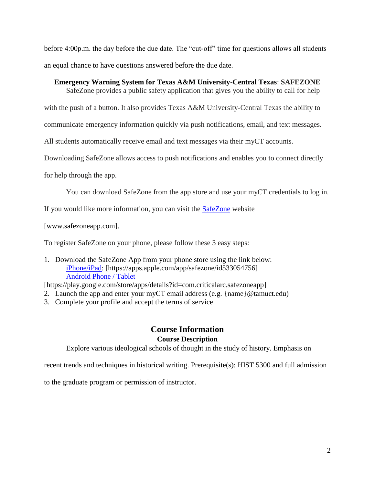before 4:00p.m. the day before the due date. The "cut-off" time for questions allows all students an equal chance to have questions answered before the due date.

### **Emergency Warning System for Texas A&M University-Central Texas**: **SAFEZONE**

SafeZone provides a public safety application that gives you the ability to call for help

with the push of a button. It also provides Texas A&M University-Central Texas the ability to

communicate emergency information quickly via push notifications, email, and text messages.

All students automatically receive email and text messages via their myCT accounts.

Downloading SafeZone allows access to push notifications and enables you to connect directly

for help through the app.

You can download SafeZone from the app store and use your myCT credentials to log in.

If you would like more information, you can visit the [SafeZone](http://www.safezoneapp.com/) website

[www.safezoneapp.com].

To register SafeZone on your phone, please follow these 3 easy steps*:*

1. Download the SafeZone App from your phone store using the link below: [iPhone/iPad:](https://apps.apple.com/app/safezone/id533054756) [https://apps.apple.com/app/safezone/id533054756] [Android Phone / Tablet](https://play.google.com/store/apps/details?id=com.criticalarc.safezoneapp)

[https://play.google.com/store/apps/details?id=com.criticalarc.safezoneapp]

- 2. Launch the app and enter your myCT email address (e.g.  $\{name\}$ @tamuct.edu)
- 3. Complete your profile and accept the terms of service

# **Course Information Course Description**

Explore various ideological schools of thought in the study of history. Emphasis on

recent trends and techniques in historical writing. Prerequisite(s): HIST 5300 and full admission

to the graduate program or permission of instructor.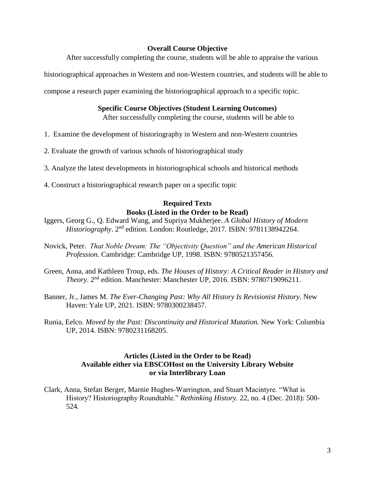### **Overall Course Objective**

After successfully completing the course, students will be able to appraise the various

historiographical approaches in Western and non-Western countries, and students will be able to

compose a research paper examining the historiographical approach to a specific topic.

### **Specific Course Objectives (Student Learning Outcomes)**

After successfully completing the course, students will be able to

- 1. Examine the development of historiography in Western and non-Western countries
- 2. Evaluate the growth of various schools of historiographical study
- 3. Analyze the latest developments in historiographical schools and historical methods
- 4. Construct a historiographical research paper on a specific topic

# **Required Texts Books (Listed in the Order to be Read)**

- Iggers, Georg G., Q. Edward Wang, and Supriya Mukherjee. *A Global History of Modern*  Historiography. 2<sup>nd</sup> edition. London: Routledge, 2017. ISBN: 9781138942264.
- Novick, Peter. *That Noble Dream: The "Objectivity Question" and the American Historical Profession*. Cambridge: Cambridge UP, 1998. ISBN: 9780521357456.
- Green, Anna, and Kathleen Troup, eds. *The Houses of History: A Critical Reader in History and Theory*. 2nd edition. Manchester: Manchester UP, 2016. ISBN: 9780719096211.
- Banner, Jr., James M. *The Ever-Changing Past: Why All History Is Revisionist History*. New Haven: Yale UP, 2021. ISBN: 9780300238457.
- Runia, Eelco. *Moved by the Past: Discontinuity and Historical Mutation.* New York: Columbia UP, 2014. ISBN: 9780231168205.

# **Articles (Listed in the Order to be Read) Available either via EBSCOHost on the University Library Website or via Interlibrary Loan**

Clark, Anna, Stefan Berger, Marnie Hughes-Warrington, and Stuart Macintyre. "What is History? Historiography Roundtable." *Rethinking History.* 22, no. 4 (Dec. 2018): 500- 524.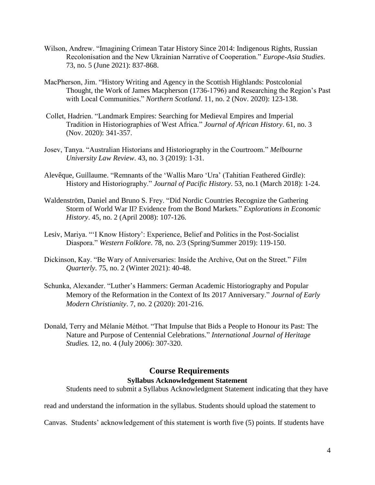- Wilson, Andrew. "Imagining Crimean Tatar History Since 2014: Indigenous Rights, Russian Recolonisation and the New Ukrainian Narrative of Cooperation." *Europe-Asia Studies*. 73, no. 5 (June 2021): 837-868.
- MacPherson, Jim. "History Writing and Agency in the Scottish Highlands: Postcolonial Thought, the Work of James Macpherson (1736-1796) and Researching the Region's Past with Local Communities." *Northern Scotland*. 11, no. 2 (Nov. 2020): 123-138.
- Collet, Hadrien. "Landmark Empires: Searching for Medieval Empires and Imperial Tradition in Historiographies of West Africa." *Journal of African History*. 61, no. 3 (Nov. 2020): 341-357.
- Josev, Tanya. "Australian Historians and Historiography in the Courtroom." *Melbourne University Law Review*. 43, no. 3 (2019): 1-31.
- Alevêque, Guillaume. "Remnants of the 'Wallis Maro 'Ura' (Tahitian Feathered Girdle): History and Historiography." *Journal of Pacific History*. 53, no.1 (March 2018): 1-24.
- Waldenström, Daniel and Bruno S. Frey. "Did Nordic Countries Recognize the Gathering Storm of World War II? Evidence from the Bond Markets." *Explorations in Economic History*. 45, no. 2 (April 2008): 107-126.
- Lesiv, Mariya. "'I Know History': Experience, Belief and Politics in the Post-Socialist Diaspora." *Western Folklore*. 78, no. 2/3 (Spring/Summer 2019): 119-150.
- Dickinson, Kay. "Be Wary of Anniversaries: Inside the Archive, Out on the Street." *Film Quarterly*. 75, no. 2 (Winter 2021): 40-48.
- Schunka, Alexander. "Luther's Hammers: German Academic Historiography and Popular Memory of the Reformation in the Context of Its 2017 Anniversary." *Journal of Early Modern Christianity*. 7, no. 2 (2020): 201-216.
- Donald, Terry and Mélanie Méthot. "That Impulse that Bids a People to Honour its Past: The Nature and Purpose of Centennial Celebrations." *International Journal of Heritage Studies.* 12, no. 4 (July 2006): 307-320.

# **Course Requirements Syllabus Acknowledgement Statement**

Students need to submit a Syllabus Acknowledgment Statement indicating that they have

read and understand the information in the syllabus. Students should upload the statement to

Canvas. Students' acknowledgement of this statement is worth five (5) points. If students have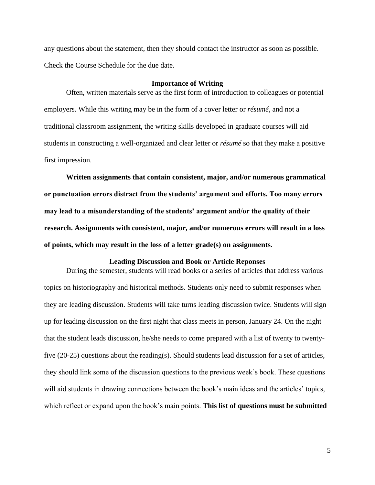any questions about the statement, then they should contact the instructor as soon as possible. Check the Course Schedule for the due date.

#### **Importance of Writing**

Often, written materials serve as the first form of introduction to colleagues or potential employers. While this writing may be in the form of a cover letter or *résumé*, and not a traditional classroom assignment, the writing skills developed in graduate courses will aid students in constructing a well-organized and clear letter or *résumé* so that they make a positive first impression.

**Written assignments that contain consistent, major, and/or numerous grammatical or punctuation errors distract from the students' argument and efforts. Too many errors may lead to a misunderstanding of the students' argument and/or the quality of their research. Assignments with consistent, major, and/or numerous errors will result in a loss of points, which may result in the loss of a letter grade(s) on assignments.** 

#### **Leading Discussion and Book or Article Reponses**

During the semester, students will read books or a series of articles that address various topics on historiography and historical methods. Students only need to submit responses when they are leading discussion. Students will take turns leading discussion twice. Students will sign up for leading discussion on the first night that class meets in person, January 24. On the night that the student leads discussion, he/she needs to come prepared with a list of twenty to twentyfive (20-25) questions about the reading(s). Should students lead discussion for a set of articles, they should link some of the discussion questions to the previous week's book. These questions will aid students in drawing connections between the book's main ideas and the articles' topics, which reflect or expand upon the book's main points. **This list of questions must be submitted**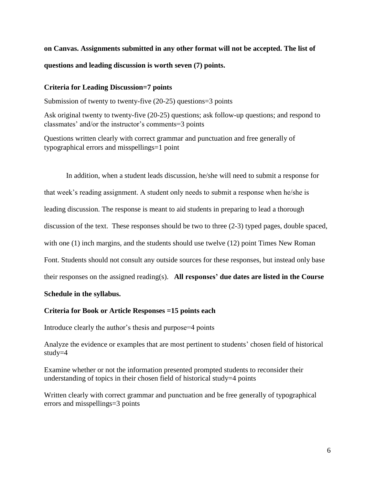**on Canvas. Assignments submitted in any other format will not be accepted. The list of questions and leading discussion is worth seven (7) points.** 

#### **Criteria for Leading Discussion=7 points**

Submission of twenty to twenty-five (20-25) questions=3 points

Ask original twenty to twenty-five (20-25) questions; ask follow-up questions; and respond to classmates' and/or the instructor's comments=3 points

Questions written clearly with correct grammar and punctuation and free generally of typographical errors and misspellings=1 point

In addition, when a student leads discussion, he/she will need to submit a response for that week's reading assignment. A student only needs to submit a response when he/she is leading discussion. The response is meant to aid students in preparing to lead a thorough discussion of the text. These responses should be two to three (2-3) typed pages, double spaced, with one (1) inch margins, and the students should use twelve (12) point Times New Roman Font. Students should not consult any outside sources for these responses, but instead only base their responses on the assigned reading(s). **All responses' due dates are listed in the Course** 

### **Schedule in the syllabus.**

#### **Criteria for Book or Article Responses =15 points each**

Introduce clearly the author's thesis and purpose=4 points

Analyze the evidence or examples that are most pertinent to students' chosen field of historical study=4

Examine whether or not the information presented prompted students to reconsider their understanding of topics in their chosen field of historical study=4 points

Written clearly with correct grammar and punctuation and be free generally of typographical errors and misspellings=3 points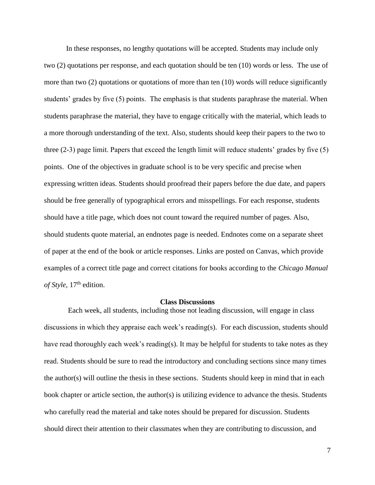In these responses, no lengthy quotations will be accepted. Students may include only two (2) quotations per response, and each quotation should be ten (10) words or less. The use of more than two (2) quotations or quotations of more than ten (10) words will reduce significantly students' grades by five (5) points. The emphasis is that students paraphrase the material. When students paraphrase the material, they have to engage critically with the material, which leads to a more thorough understanding of the text. Also, students should keep their papers to the two to three (2-3) page limit. Papers that exceed the length limit will reduce students' grades by five (5) points. One of the objectives in graduate school is to be very specific and precise when expressing written ideas. Students should proofread their papers before the due date, and papers should be free generally of typographical errors and misspellings. For each response, students should have a title page, which does not count toward the required number of pages. Also, should students quote material, an endnotes page is needed. Endnotes come on a separate sheet of paper at the end of the book or article responses. Links are posted on Canvas, which provide examples of a correct title page and correct citations for books according to the *Chicago Manual*  of Style, 17<sup>th</sup> edition.

#### **Class Discussions**

Each week, all students, including those not leading discussion, will engage in class discussions in which they appraise each week's reading(s). For each discussion, students should have read thoroughly each week's reading(s). It may be helpful for students to take notes as they read. Students should be sure to read the introductory and concluding sections since many times the author(s) will outline the thesis in these sections. Students should keep in mind that in each book chapter or article section, the author(s) is utilizing evidence to advance the thesis. Students who carefully read the material and take notes should be prepared for discussion. Students should direct their attention to their classmates when they are contributing to discussion, and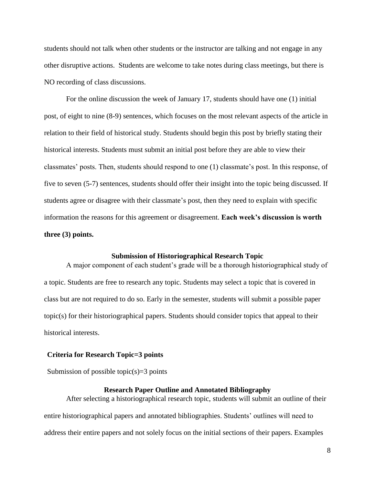students should not talk when other students or the instructor are talking and not engage in any other disruptive actions. Students are welcome to take notes during class meetings, but there is NO recording of class discussions.

For the online discussion the week of January 17, students should have one (1) initial post, of eight to nine (8-9) sentences, which focuses on the most relevant aspects of the article in relation to their field of historical study. Students should begin this post by briefly stating their historical interests. Students must submit an initial post before they are able to view their classmates' posts. Then, students should respond to one (1) classmate's post. In this response, of five to seven (5-7) sentences, students should offer their insight into the topic being discussed. If students agree or disagree with their classmate's post, then they need to explain with specific information the reasons for this agreement or disagreement. **Each week's discussion is worth three (3) points.** 

### **Submission of Historiographical Research Topic**

A major component of each student's grade will be a thorough historiographical study of a topic. Students are free to research any topic. Students may select a topic that is covered in class but are not required to do so. Early in the semester, students will submit a possible paper topic(s) for their historiographical papers. Students should consider topics that appeal to their historical interests.

#### **Criteria for Research Topic=3 points**

Submission of possible topic(s)=3 points

#### **Research Paper Outline and Annotated Bibliography**

After selecting a historiographical research topic, students will submit an outline of their entire historiographical papers and annotated bibliographies. Students' outlines will need to address their entire papers and not solely focus on the initial sections of their papers. Examples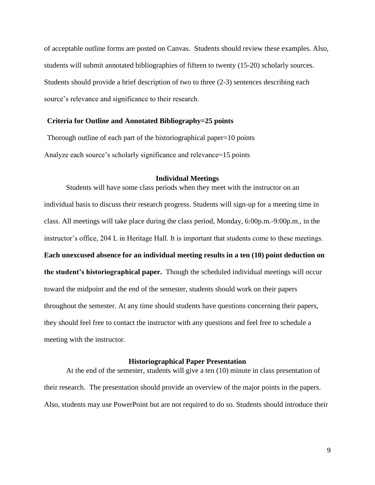of acceptable outline forms are posted on Canvas. Students should review these examples. Also, students will submit annotated bibliographies of fifteen to twenty (15-20) scholarly sources. Students should provide a brief description of two to three (2-3) sentences describing each source's relevance and significance to their research.

### **Criteria for Outline and Annotated Bibliography=25 points**

Thorough outline of each part of the historiographical paper=10 points Analyze each source's scholarly significance and relevance=15 points

### **Individual Meetings**

Students will have some class periods when they meet with the instructor on an individual basis to discuss their research progress. Students will sign-up for a meeting time in class. All meetings will take place during the class period, Monday, 6:00p.m.-9:00p.m., in the instructor's office, 204 L in Heritage Hall. It is important that students come to these meetings. **Each unexcused absence for an individual meeting results in a ten (10) point deduction on the student's historiographical paper.** Though the scheduled individual meetings will occur toward the midpoint and the end of the semester, students should work on their papers throughout the semester. At any time should students have questions concerning their papers, they should feel free to contact the instructor with any questions and feel free to schedule a meeting with the instructor.

#### **Historiographical Paper Presentation**

At the end of the semester, students will give a ten (10) minute in class presentation of their research. The presentation should provide an overview of the major points in the papers. Also, students may use PowerPoint but are not required to do so. Students should introduce their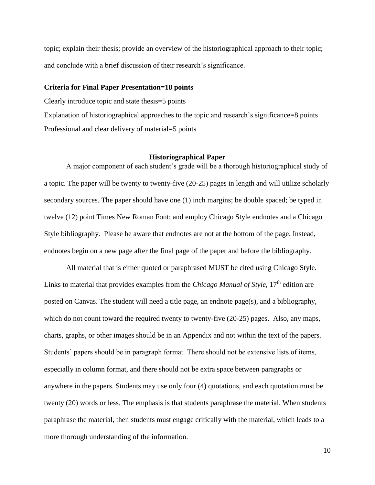topic; explain their thesis; provide an overview of the historiographical approach to their topic; and conclude with a brief discussion of their research's significance.

#### **Criteria for Final Paper Presentation=18 points**

Clearly introduce topic and state thesis=5 points

Explanation of historiographical approaches to the topic and research's significance=8 points Professional and clear delivery of material=5 points

#### **Historiographical Paper**

A major component of each student's grade will be a thorough historiographical study of a topic. The paper will be twenty to twenty-five (20-25) pages in length and will utilize scholarly secondary sources. The paper should have one (1) inch margins; be double spaced; be typed in twelve (12) point Times New Roman Font; and employ Chicago Style endnotes and a Chicago Style bibliography. Please be aware that endnotes are not at the bottom of the page. Instead, endnotes begin on a new page after the final page of the paper and before the bibliography.

All material that is either quoted or paraphrased MUST be cited using Chicago Style. Links to material that provides examples from the *Chicago Manual of Style*, 17<sup>th</sup> edition are posted on Canvas. The student will need a title page, an endnote page(s), and a bibliography, which do not count toward the required twenty to twenty-five (20-25) pages. Also, any maps, charts, graphs, or other images should be in an Appendix and not within the text of the papers. Students' papers should be in paragraph format. There should not be extensive lists of items, especially in column format, and there should not be extra space between paragraphs or anywhere in the papers. Students may use only four (4) quotations, and each quotation must be twenty (20) words or less. The emphasis is that students paraphrase the material. When students paraphrase the material, then students must engage critically with the material, which leads to a more thorough understanding of the information.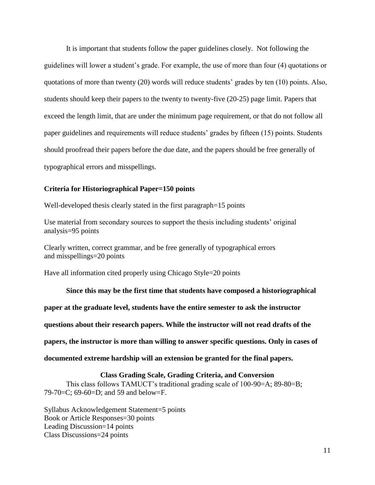It is important that students follow the paper guidelines closely. Not following the guidelines will lower a student's grade. For example, the use of more than four (4) quotations or quotations of more than twenty (20) words will reduce students' grades by ten (10) points. Also, students should keep their papers to the twenty to twenty-five (20-25) page limit. Papers that exceed the length limit, that are under the minimum page requirement, or that do not follow all paper guidelines and requirements will reduce students' grades by fifteen (15) points. Students should proofread their papers before the due date, and the papers should be free generally of typographical errors and misspellings.

# **Criteria for Historiographical Paper=150 points**

Well-developed thesis clearly stated in the first paragraph=15 points

Use material from secondary sources to support the thesis including students' original analysis=95 points

Clearly written, correct grammar, and be free generally of typographical errors and misspellings=20 points

Have all information cited properly using Chicago Style=20 points

**Since this may be the first time that students have composed a historiographical paper at the graduate level, students have the entire semester to ask the instructor questions about their research papers. While the instructor will not read drafts of the papers, the instructor is more than willing to answer specific questions. Only in cases of documented extreme hardship will an extension be granted for the final papers.**

#### **Class Grading Scale, Grading Criteria, and Conversion**

This class follows TAMUCT's traditional grading scale of 100-90=A; 89-80=B; 79-70=C; 69-60=D; and 59 and below=F.

Syllabus Acknowledgement Statement=5 points Book or Article Responses=30 points Leading Discussion=14 points Class Discussions=24 points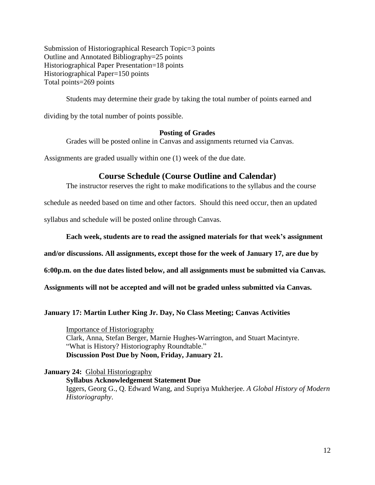Submission of Historiographical Research Topic=3 points Outline and Annotated Bibliography=25 points Historiographical Paper Presentation=18 points Historiographical Paper=150 points Total points=269 points

Students may determine their grade by taking the total number of points earned and

dividing by the total number of points possible.

### **Posting of Grades**

Grades will be posted online in Canvas and assignments returned via Canvas.

Assignments are graded usually within one (1) week of the due date.

# **Course Schedule (Course Outline and Calendar)**

The instructor reserves the right to make modifications to the syllabus and the course

schedule as needed based on time and other factors. Should this need occur, then an updated

syllabus and schedule will be posted online through Canvas.

**Each week, students are to read the assigned materials for that week's assignment** 

**and/or discussions. All assignments, except those for the week of January 17, are due by** 

**6:00p.m. on the due dates listed below, and all assignments must be submitted via Canvas.** 

**Assignments will not be accepted and will not be graded unless submitted via Canvas.** 

**January 17: Martin Luther King Jr. Day, No Class Meeting; Canvas Activities**

Importance of Historiography Clark, Anna, Stefan Berger, Marnie Hughes-Warrington, and Stuart Macintyre. "What is History? Historiography Roundtable." **Discussion Post Due by Noon, Friday, January 21.** 

**January 24: Global Historiography Syllabus Acknowledgement Statement Due** Iggers, Georg G., Q. Edward Wang, and Supriya Mukherjee. *A Global History of Modern Historiography*.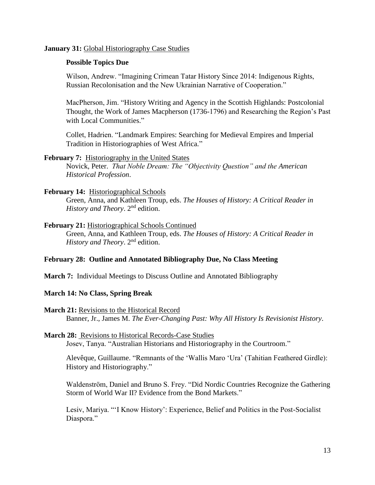### **January 31:** Global Historiography Case Studies

### **Possible Topics Due**

Wilson, Andrew. "Imagining Crimean Tatar History Since 2014: Indigenous Rights, Russian Recolonisation and the New Ukrainian Narrative of Cooperation."

MacPherson, Jim. "History Writing and Agency in the Scottish Highlands: Postcolonial Thought, the Work of James Macpherson (1736-1796) and Researching the Region's Past with Local Communities."

Collet, Hadrien. "Landmark Empires: Searching for Medieval Empires and Imperial Tradition in Historiographies of West Africa."

### **February 7:** Historiography in the United States

Novick, Peter. *That Noble Dream: The "Objectivity Question" and the American Historical Profession*.

# **February 14:** Historiographical Schools

Green, Anna, and Kathleen Troup, eds. *The Houses of History: A Critical Reader in History and Theory*. 2<sup>nd</sup> edition.

**February 21:** Historiographical Schools Continued Green, Anna, and Kathleen Troup, eds. *The Houses of History: A Critical Reader in History and Theory*. 2<sup>nd</sup> edition.

# **February 28: Outline and Annotated Bibliography Due, No Class Meeting**

**March 7:** Individual Meetings to Discuss Outline and Annotated Bibliography

### **March 14: No Class, Spring Break**

**March 21:** Revisions to the Historical Record Banner, Jr., James M. *The Ever-Changing Past: Why All History Is Revisionist History*.

### **March 28:** Revisions to Historical Records-Case Studies Josev, Tanya. "Australian Historians and Historiography in the Courtroom."

Alevêque, Guillaume. "Remnants of the 'Wallis Maro 'Ura' (Tahitian Feathered Girdle): History and Historiography."

Waldenström, Daniel and Bruno S. Frey. "Did Nordic Countries Recognize the Gathering Storm of World War II? Evidence from the Bond Markets."

Lesiv, Mariya. "'I Know History': Experience, Belief and Politics in the Post-Socialist Diaspora."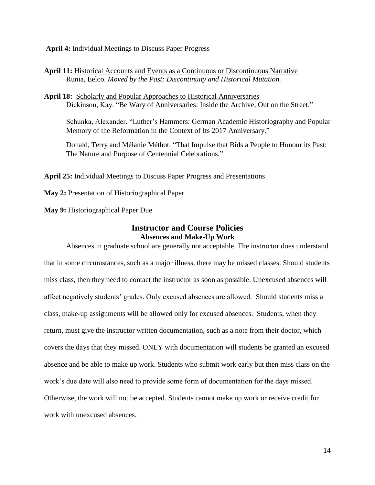**April 4:** Individual Meetings to Discuss Paper Progress

**April 11:** Historical Accounts and Events as a Continuous or Discontinuous Narrative Runia, Eelco. *Moved by the Past: Discontinuity and Historical Mutation.*

**April 18:** Scholarly and Popular Approaches to Historical Anniversaries Dickinson, Kay. "Be Wary of Anniversaries: Inside the Archive, Out on the Street."

Schunka, Alexander. "Luther's Hammers: German Academic Historiography and Popular Memory of the Reformation in the Context of Its 2017 Anniversary."

Donald, Terry and Mélanie Méthot. "That Impulse that Bids a People to Honour its Past: The Nature and Purpose of Centennial Celebrations."

**April 25:** Individual Meetings to Discuss Paper Progress and Presentations

**May 2:** Presentation of Historiographical Paper

**May 9:** Historiographical Paper Due

# **Instructor and Course Policies Absences and Make-Up Work**

Absences in graduate school are generally not acceptable. The instructor does understand that in some circumstances, such as a major illness, there may be missed classes. Should students miss class, then they need to contact the instructor as soon as possible. Unexcused absences will affect negatively students' grades. Only excused absences are allowed. Should students miss a class, make-up assignments will be allowed only for excused absences. Students, when they return, must give the instructor written documentation, such as a note from their doctor, which covers the days that they missed. ONLY with documentation will students be granted an excused absence and be able to make up work. Students who submit work early but then miss class on the work's due date will also need to provide some form of documentation for the days missed. Otherwise, the work will not be accepted. Students cannot make up work or receive credit for work with unexcused absences.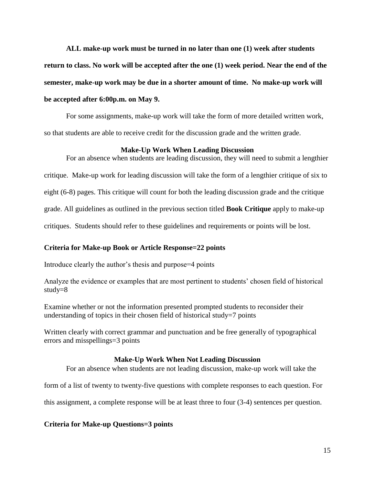**ALL make-up work must be turned in no later than one (1) week after students return to class. No work will be accepted after the one (1) week period. Near the end of the semester, make-up work may be due in a shorter amount of time. No make-up work will be accepted after 6:00p.m. on May 9.** 

For some assignments, make-up work will take the form of more detailed written work, so that students are able to receive credit for the discussion grade and the written grade.

### **Make-Up Work When Leading Discussion**

For an absence when students are leading discussion, they will need to submit a lengthier critique. Make-up work for leading discussion will take the form of a lengthier critique of six to eight (6-8) pages. This critique will count for both the leading discussion grade and the critique grade. All guidelines as outlined in the previous section titled **Book Critique** apply to make-up critiques. Students should refer to these guidelines and requirements or points will be lost.

### **Criteria for Make-up Book or Article Response=22 points**

Introduce clearly the author's thesis and purpose=4 points

Analyze the evidence or examples that are most pertinent to students' chosen field of historical study=8

Examine whether or not the information presented prompted students to reconsider their understanding of topics in their chosen field of historical study= $7$  points

Written clearly with correct grammar and punctuation and be free generally of typographical errors and misspellings=3 points

### **Make-Up Work When Not Leading Discussion**

For an absence when students are not leading discussion, make-up work will take the

form of a list of twenty to twenty-five questions with complete responses to each question. For

this assignment, a complete response will be at least three to four (3-4) sentences per question.

### **Criteria for Make-up Questions=3 points**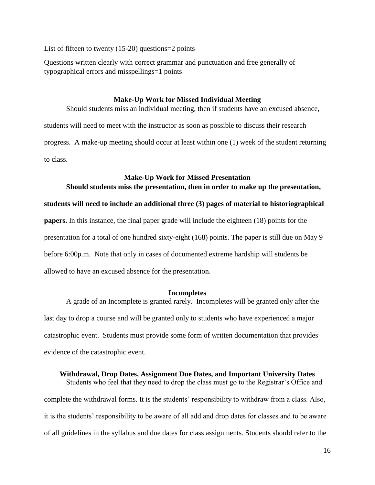List of fifteen to twenty (15-20) questions=2 points

Questions written clearly with correct grammar and punctuation and free generally of typographical errors and misspellings=1 points

#### **Make-Up Work for Missed Individual Meeting**

Should students miss an individual meeting, then if students have an excused absence, students will need to meet with the instructor as soon as possible to discuss their research progress. A make-up meeting should occur at least within one (1) week of the student returning to class.

# **Make-Up Work for Missed Presentation Should students miss the presentation, then in order to make up the presentation,**

### **students will need to include an additional three (3) pages of material to historiographical**

**papers.** In this instance, the final paper grade will include the eighteen (18) points for the presentation for a total of one hundred sixty-eight (168) points. The paper is still due on May 9 before 6:00p.m.Note that only in cases of documented extreme hardship will students be allowed to have an excused absence for the presentation.

#### **Incompletes**

A grade of an Incomplete is granted rarely. Incompletes will be granted only after the last day to drop a course and will be granted only to students who have experienced a major catastrophic event. Students must provide some form of written documentation that provides evidence of the catastrophic event.

# **Withdrawal, Drop Dates, Assignment Due Dates, and Important University Dates**

Students who feel that they need to drop the class must go to the Registrar's Office and complete the withdrawal forms. It is the students' responsibility to withdraw from a class. Also, it is the students' responsibility to be aware of all add and drop dates for classes and to be aware of all guidelines in the syllabus and due dates for class assignments. Students should refer to the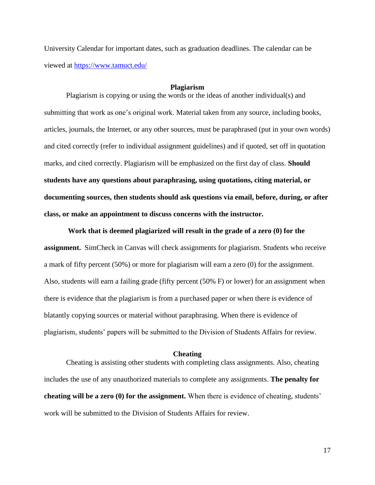University Calendar for important dates, such as graduation deadlines. The calendar can be viewed at<https://www.tamuct.edu/>

#### **Plagiarism**

Plagiarism is copying or using the words or the ideas of another individual(s) and submitting that work as one's original work. Material taken from any source, including books, articles, journals, the Internet, or any other sources, must be paraphrased (put in your own words) and cited correctly (refer to individual assignment guidelines) and if quoted, set off in quotation marks, and cited correctly. Plagiarism will be emphasized on the first day of class. **Should students have any questions about paraphrasing, using quotations, citing material, or documenting sources, then students should ask questions via email, before, during, or after class, or make an appointment to discuss concerns with the instructor.** 

**Work that is deemed plagiarized will result in the grade of a zero (0) for the assignment.** SimCheck in Canvas will check assignments for plagiarism. Students who receive a mark of fifty percent (50%) or more for plagiarism will earn a zero (0) for the assignment. Also, students will earn a failing grade (fifty percent (50% F) or lower) for an assignment when there is evidence that the plagiarism is from a purchased paper or when there is evidence of blatantly copying sources or material without paraphrasing. When there is evidence of plagiarism, students' papers will be submitted to the Division of Students Affairs for review.

#### **Cheating**

Cheating is assisting other students with completing class assignments. Also, cheating includes the use of any unauthorized materials to complete any assignments. **The penalty for cheating will be a zero (0) for the assignment.** When there is evidence of cheating, students' work will be submitted to the Division of Students Affairs for review.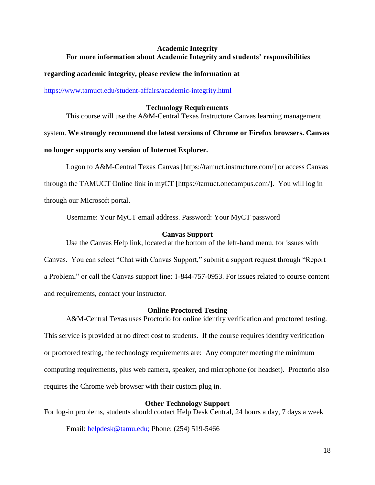# **Academic Integrity For more information about Academic Integrity and students' responsibilities**

# **regarding academic integrity, please review the information at**

### <https://www.tamuct.edu/student-affairs/academic-integrity.html>

### **Technology Requirements**

This course will use the A&M-Central Texas Instructure Canvas learning management

### system. **We strongly recommend the latest versions of Chrome or Firefox browsers. Canvas**

# **no longer supports any version of Internet Explorer.**

Logon to A&M-Central Texas Canvas [https://tamuct.instructure.com/] or access Canvas

through the TAMUCT Online link in myCT [https://tamuct.onecampus.com/]. You will log in

through our Microsoft portal.

Username: Your MyCT email address. Password: Your MyCT password

### **Canvas Support**

Use the Canvas Help link, located at the bottom of the left-hand menu, for issues with

Canvas. You can select "Chat with Canvas Support," submit a support request through "Report a Problem," or call the Canvas support line: 1-844-757-0953. For issues related to course content and requirements, contact your instructor.

### **Online Proctored Testing**

A&M-Central Texas uses Proctorio for online identity verification and proctored testing. This service is provided at no direct cost to students. If the course requires identity verification or proctored testing, the technology requirements are: Any computer meeting the minimum computing requirements, plus web camera, speaker, and microphone (or headset). Proctorio also requires the Chrome web browser with their custom plug in.

### **Other Technology Support**

For log-in problems, students should contact Help Desk Central, 24 hours a day, 7 days a week

Email: [helpdesk@tamu.edu;](mailto:helpdesk@tamu.edu) Phone: (254) 519-5466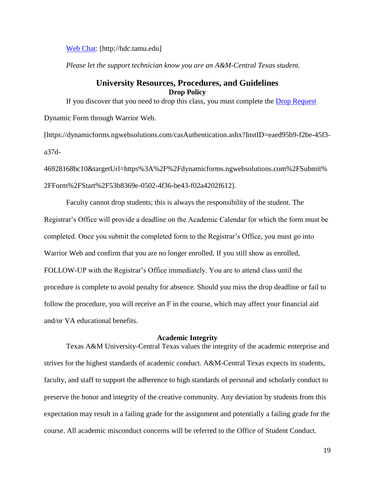[Web Chat:](http://hdc.tamu.edu/) [http://hdc.tamu.edu]

*Please let the support technician know you are an A&M-Central Texas student.*

# **University Resources, Procedures, and Guidelines Drop Policy**

If you discover that you need to drop this class, you must complete the [Drop Request](https://dynamicforms.ngwebsolutions.com/casAuthentication.ashx?InstID=eaed95b9-f2be-45f3-a37d-46928168bc10&targetUrl=https%3A%2F%2Fdynamicforms.ngwebsolutions.com%2FSubmit%2FForm%2FStart%2F53b8369e-0502-4f36-be43-f02a4202f612) Dynamic Form through Warrior Web.

[https://dynamicforms.ngwebsolutions.com/casAuthentication.ashx?InstID=eaed95b9-f2be-45f3 a37d-

46928168bc10&targetUrl=https%3A%2F%2Fdynamicforms.ngwebsolutions.com%2FSubmit% 2FForm%2FStart%2F53b8369e-0502-4f36-be43-f02a4202f612].

Faculty cannot drop students; this is always the responsibility of the student. The Registrar's Office will provide a deadline on the Academic Calendar for which the form must be completed. Once you submit the completed form to the Registrar's Office, you must go into Warrior Web and confirm that you are no longer enrolled. If you still show as enrolled, FOLLOW-UP with the Registrar's Office immediately. You are to attend class until the procedure is complete to avoid penalty for absence. Should you miss the drop deadline or fail to follow the procedure, you will receive an F in the course, which may affect your financial aid and/or VA educational benefits.

#### **Academic Integrity**

Texas A&M University-Central Texas values the integrity of the academic enterprise and strives for the highest standards of academic conduct. A&M-Central Texas expects its students, faculty, and staff to support the adherence to high standards of personal and scholarly conduct to preserve the honor and integrity of the creative community. Any deviation by students from this expectation may result in a failing grade for the assignment and potentially a failing grade for the course. All academic misconduct concerns will be referred to the Office of Student Conduct.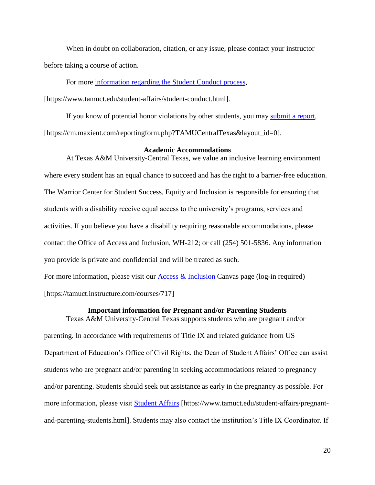When in doubt on collaboration, citation, or any issue, please contact your instructor before taking a course of action.

For more [information](https://nam04.safelinks.protection.outlook.com/?url=https%3A%2F%2Fwww.tamuct.edu%2Fstudent-affairs%2Fstudent-conduct.html&data=04%7C01%7Clisa.bunkowski%40tamuct.edu%7Ccfb6e486f24745f53e1a08d910055cb2%7C9eed4e3000f744849ff193ad8005acec%7C0%7C0%7C637558437485252160%7CUnknown%7CTWFpbGZsb3d8eyJWIjoiMC4wLjAwMDAiLCJQIjoiV2luMzIiLCJBTiI6Ik1haWwiLCJXVCI6Mn0%3D%7C1000&sdata=yjftDEVHvLX%2FhM%2FcFU0B99krV1RgEWR%2BJ%2BhvtoR6TYk%3D&reserved=0) regarding the Student Conduct process,

[https://www.tamuct.edu/student-affairs/student-conduct.html].

If you know of potential honor violations by other students, you may [submit](https://nam04.safelinks.protection.outlook.com/?url=https%3A%2F%2Fcm.maxient.com%2Freportingform.php%3FTAMUCentralTexas%26layout_id%3D0&data=04%7C01%7Clisa.bunkowski%40tamuct.edu%7Ccfb6e486f24745f53e1a08d910055cb2%7C9eed4e3000f744849ff193ad8005acec%7C0%7C0%7C637558437485262157%7CUnknown%7CTWFpbGZsb3d8eyJWIjoiMC4wLjAwMDAiLCJQIjoiV2luMzIiLCJBTiI6Ik1haWwiLCJXVCI6Mn0%3D%7C1000&sdata=CXGkOa6uPDPX1IMZ87z3aZDq2n91xfHKu4MMS43Ejjk%3D&reserved=0) a report, [https://cm.maxient.com/reportingform.php?TAMUCentralTexas&layout\_id=0].

#### **Academic Accommodations**

At Texas A&M University-Central Texas, we value an inclusive learning environment where every student has an equal chance to succeed and has the right to a barrier-free education. The Warrior Center for Student Success, Equity and Inclusion is responsible for ensuring that students with a disability receive equal access to the university's programs, services and activities. If you believe you have a disability requiring reasonable accommodations, please contact the Office of Access and Inclusion, WH-212; or call (254) 501-5836. Any information you provide is private and confidential and will be treated as such. For more information, please visit our [Access & Inclusion](https://tamuct.instructure.com/courses/717) Canvas page (log-in required)

[https://tamuct.instructure.com/courses/717]

### **Important information for Pregnant and/or Parenting Students** Texas A&M University-Central Texas supports students who are pregnant and/or

parenting. In accordance with requirements of Title IX and related guidance from US Department of Education's Office of Civil Rights, the Dean of Student Affairs' Office can assist students who are pregnant and/or parenting in seeking accommodations related to pregnancy and/or parenting. Students should seek out assistance as early in the pregnancy as possible. For more information, please visit [Student Affairs](https://www.tamuct.edu/student-affairs/pregnant-and-parenting-students.html) [https://www.tamuct.edu/student-affairs/pregnantand-parenting-students.html]. Students may also contact the institution's Title IX Coordinator. If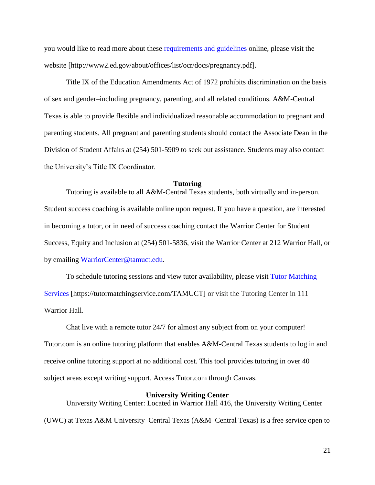you would like to read more about these [requirements and guidelines](http://www2.ed.gov/about/offices/list/ocr/docs/pregnancy.pdf) online, please visit the website [http://www2.ed.gov/about/offices/list/ocr/docs/pregnancy.pdf].

Title IX of the Education Amendments Act of 1972 prohibits discrimination on the basis of sex and gender–including pregnancy, parenting, and all related conditions. A&M-Central Texas is able to provide flexible and individualized reasonable accommodation to pregnant and parenting students. All pregnant and parenting students should contact the Associate Dean in the Division of Student Affairs at (254) 501-5909 to seek out assistance. Students may also contact the University's Title IX Coordinator.

#### **Tutoring**

Tutoring is available to all A&M-Central Texas students, both virtually and in-person. Student success coaching is available online upon request. If you have a question, are interested in becoming a tutor, or in need of success coaching contact the Warrior Center for Student Success, Equity and Inclusion at (254) 501-5836, visit the Warrior Center at 212 Warrior Hall, or by emailing [WarriorCenter@tamuct.edu.](mailto:WarriorCenter@tamuct.edu)

To schedule tutoring sessions and view tutor availability, please visit Tutor [Matching](https://tutormatchingservice.com/TAMUCT) [Services](https://tutormatchingservice.com/TAMUCT) [https://tutormatchingservice.com/TAMUCT] or visit the Tutoring Center in 111 Warrior Hall.

Chat live with a remote tutor 24/7 for almost any subject from on your computer! Tutor.com is an online tutoring platform that enables A&M-Central Texas students to log in and receive online tutoring support at no additional cost. This tool provides tutoring in over 40 subject areas except writing support. Access Tutor.com through Canvas.

#### **University Writing Center**

University Writing Center: Located in Warrior Hall 416, the University Writing Center (UWC) at Texas A&M University–Central Texas (A&M–Central Texas) is a free service open to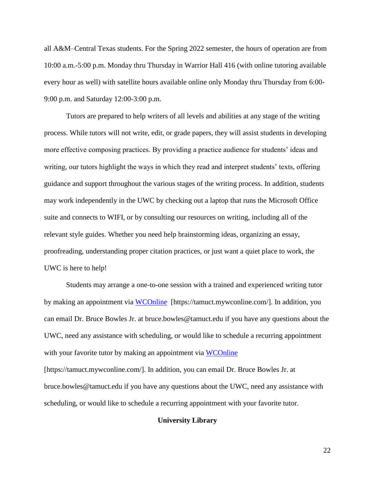all A&M–Central Texas students. For the Spring 2022 semester, the hours of operation are from 10:00 a.m.-5:00 p.m. Monday thru Thursday in Warrior Hall 416 (with online tutoring available every hour as well) with satellite hours available online only Monday thru Thursday from 6:00- 9:00 p.m. and Saturday 12:00-3:00 p.m.

Tutors are prepared to help writers of all levels and abilities at any stage of the writing process. While tutors will not write, edit, or grade papers, they will assist students in developing more effective composing practices. By providing a practice audience for students' ideas and writing, our tutors highlight the ways in which they read and interpret students' texts, offering guidance and support throughout the various stages of the writing process. In addition, students may work independently in the UWC by checking out a laptop that runs the Microsoft Office suite and connects to WIFI, or by consulting our resources on writing, including all of the relevant style guides. Whether you need help brainstorming ideas, organizing an essay, proofreading, understanding proper citation practices, or just want a quiet place to work, the UWC is here to help!

Students may arrange a one-to-one session with a trained and experienced writing tutor by making an appointment via [WCOnline](https://tamuct.mywconline.com/) [https://tamuct.mywconline.com/]. In addition, you can email Dr. Bruce Bowles Jr. at bruce.bowles@tamuct.edu if you have any questions about the UWC, need any assistance with scheduling, or would like to schedule a recurring appointment with your favorite tutor by making an appointment via [WCOnline](https://tamuct.mywconline.com/) [https://tamuct.mywconline.com/]. In addition, you can email Dr. Bruce Bowles Jr. at bruce.bowles@tamuct.edu if you have any questions about the UWC, need any assistance with scheduling, or would like to schedule a recurring appointment with your favorite tutor.

#### **University Library**

22